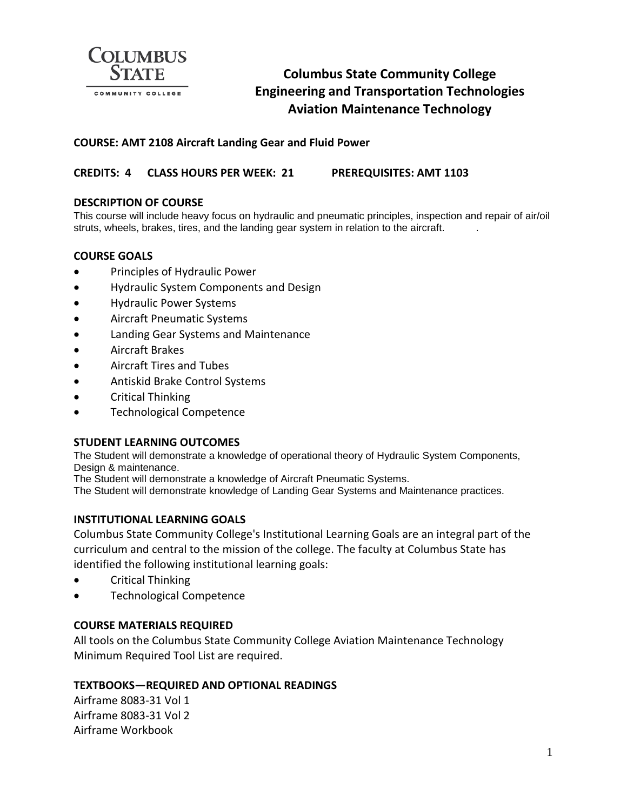

# **Columbus State Community College Engineering and Transportation Technologies Aviation Maintenance Technology**

# **COURSE: AMT 2108 Aircraft Landing Gear and Fluid Power**

**CREDITS: 4 CLASS HOURS PER WEEK: 21 PREREQUISITES: AMT 1103**

## **DESCRIPTION OF COURSE**

This course will include heavy focus on hydraulic and pneumatic principles, inspection and repair of air/oil struts, wheels, brakes, tires, and the landing gear system in relation to the aircraft. .

## **COURSE GOALS**

- Principles of Hydraulic Power
- Hydraulic System Components and Design
- Hydraulic Power Systems
- Aircraft Pneumatic Systems
- Landing Gear Systems and Maintenance
- Aircraft Brakes
- Aircraft Tires and Tubes
- Antiskid Brake Control Systems
- Critical Thinking
- Technological Competence

#### **STUDENT LEARNING OUTCOMES**

The Student will demonstrate a knowledge of operational theory of Hydraulic System Components, Design & maintenance.

The Student will demonstrate a knowledge of Aircraft Pneumatic Systems.

The Student will demonstrate knowledge of Landing Gear Systems and Maintenance practices.

#### **INSTITUTIONAL LEARNING GOALS**

Columbus State Community College's Institutional Learning Goals are an integral part of the curriculum and central to the mission of the college. The faculty at Columbus State has identified the following institutional learning goals:

- Critical Thinking
- Technological Competence

#### **COURSE MATERIALS REQUIRED**

All tools on the Columbus State Community College Aviation Maintenance Technology Minimum Required Tool List are required.

#### **TEXTBOOKS—REQUIRED AND OPTIONAL READINGS**

Airframe 8083-31 Vol 1 Airframe 8083-31 Vol 2 Airframe Workbook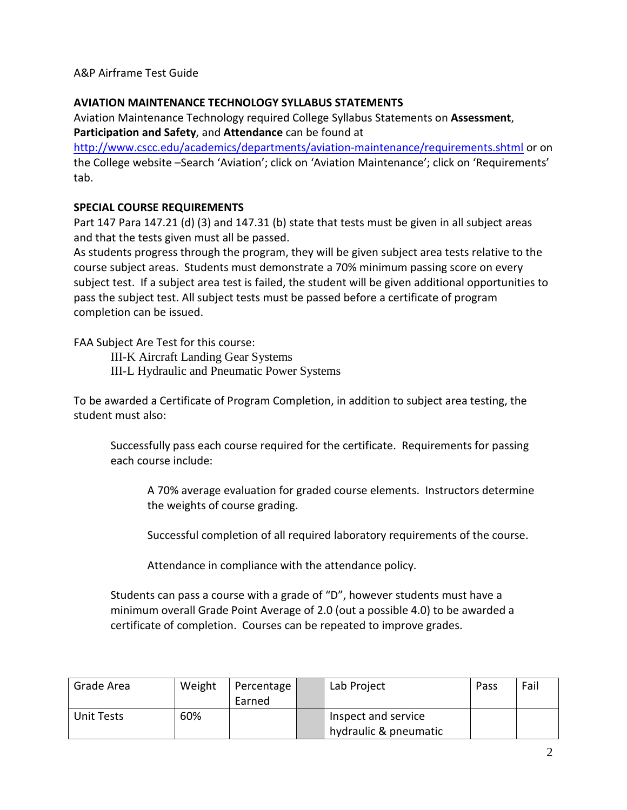A&P Airframe Test Guide

# **AVIATION MAINTENANCE TECHNOLOGY SYLLABUS STATEMENTS**

Aviation Maintenance Technology required College Syllabus Statements on **Assessment**, **Participation and Safety**, and **Attendance** can be found at

<http://www.cscc.edu/academics/departments/aviation-maintenance/requirements.shtml> or on the College website –Search 'Aviation'; click on 'Aviation Maintenance'; click on 'Requirements' tab.

# **SPECIAL COURSE REQUIREMENTS**

Part 147 Para 147.21 (d) (3) and 147.31 (b) state that tests must be given in all subject areas and that the tests given must all be passed.

As students progress through the program, they will be given subject area tests relative to the course subject areas. Students must demonstrate a 70% minimum passing score on every subject test. If a subject area test is failed, the student will be given additional opportunities to pass the subject test. All subject tests must be passed before a certificate of program completion can be issued.

FAA Subject Are Test for this course:

III-K Aircraft Landing Gear Systems III-L Hydraulic and Pneumatic Power Systems

To be awarded a Certificate of Program Completion, in addition to subject area testing, the student must also:

Successfully pass each course required for the certificate. Requirements for passing each course include:

A 70% average evaluation for graded course elements. Instructors determine the weights of course grading.

Successful completion of all required laboratory requirements of the course.

Attendance in compliance with the attendance policy.

Students can pass a course with a grade of "D", however students must have a minimum overall Grade Point Average of 2.0 (out a possible 4.0) to be awarded a certificate of completion. Courses can be repeated to improve grades.

| Grade Area | Weight | Percentage<br>Earned | Lab Project                                  | Pass | Fail |
|------------|--------|----------------------|----------------------------------------------|------|------|
| Unit Tests | 60%    |                      | Inspect and service<br>hydraulic & pneumatic |      |      |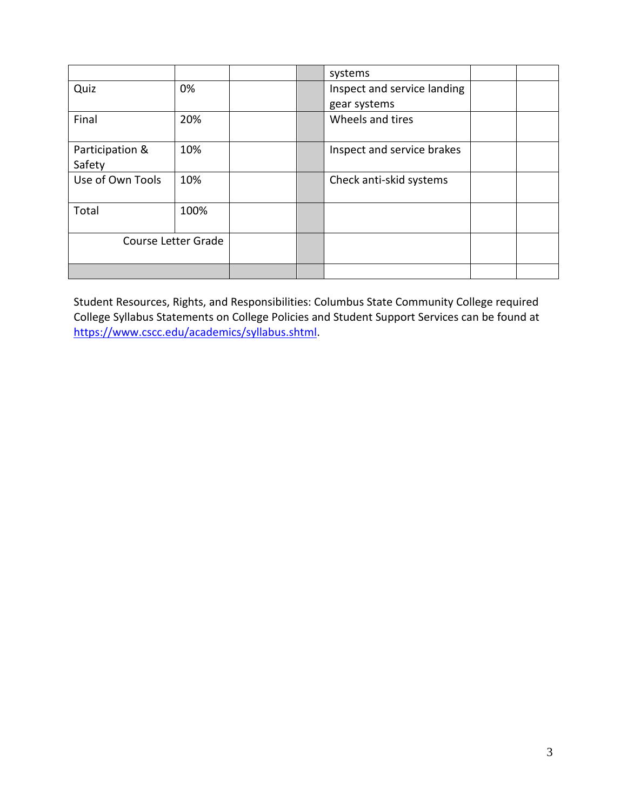|                     |      |  | systems                     |  |
|---------------------|------|--|-----------------------------|--|
| Quiz                | 0%   |  | Inspect and service landing |  |
|                     |      |  | gear systems                |  |
| Final               | 20%  |  | Wheels and tires            |  |
| Participation &     | 10%  |  | Inspect and service brakes  |  |
| Safety              |      |  |                             |  |
| Use of Own Tools    | 10%  |  | Check anti-skid systems     |  |
| Total               | 100% |  |                             |  |
| Course Letter Grade |      |  |                             |  |
|                     |      |  |                             |  |

Student Resources, Rights, and Responsibilities: Columbus State Community College required College Syllabus Statements on College Policies and Student Support Services can be found at [https://www.cscc.edu/academics/syllabus.shtml.](https://www.cscc.edu/academics/syllabus.shtml)